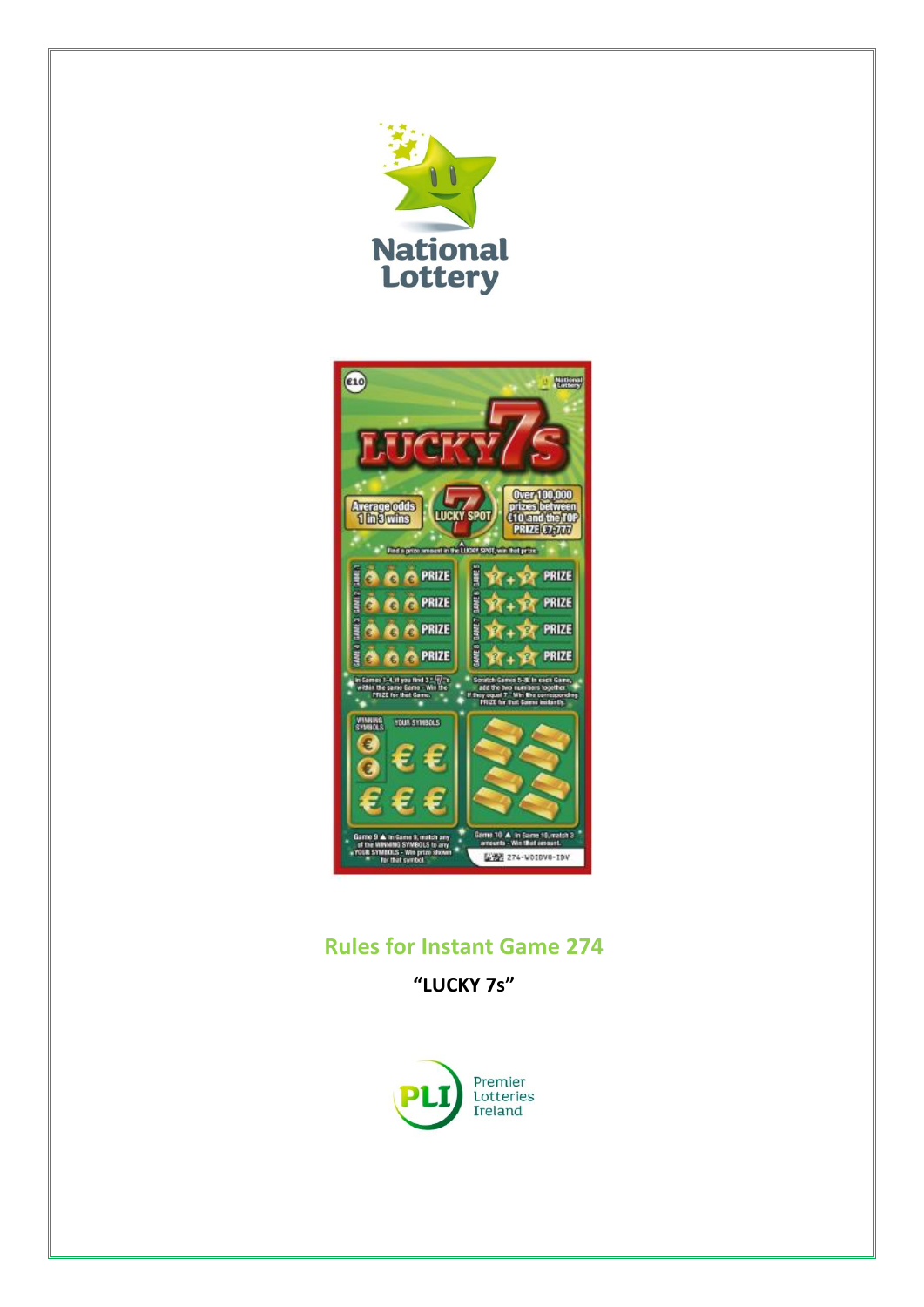



# **Rules for Instant Game 274 "LUCKY 7s"**

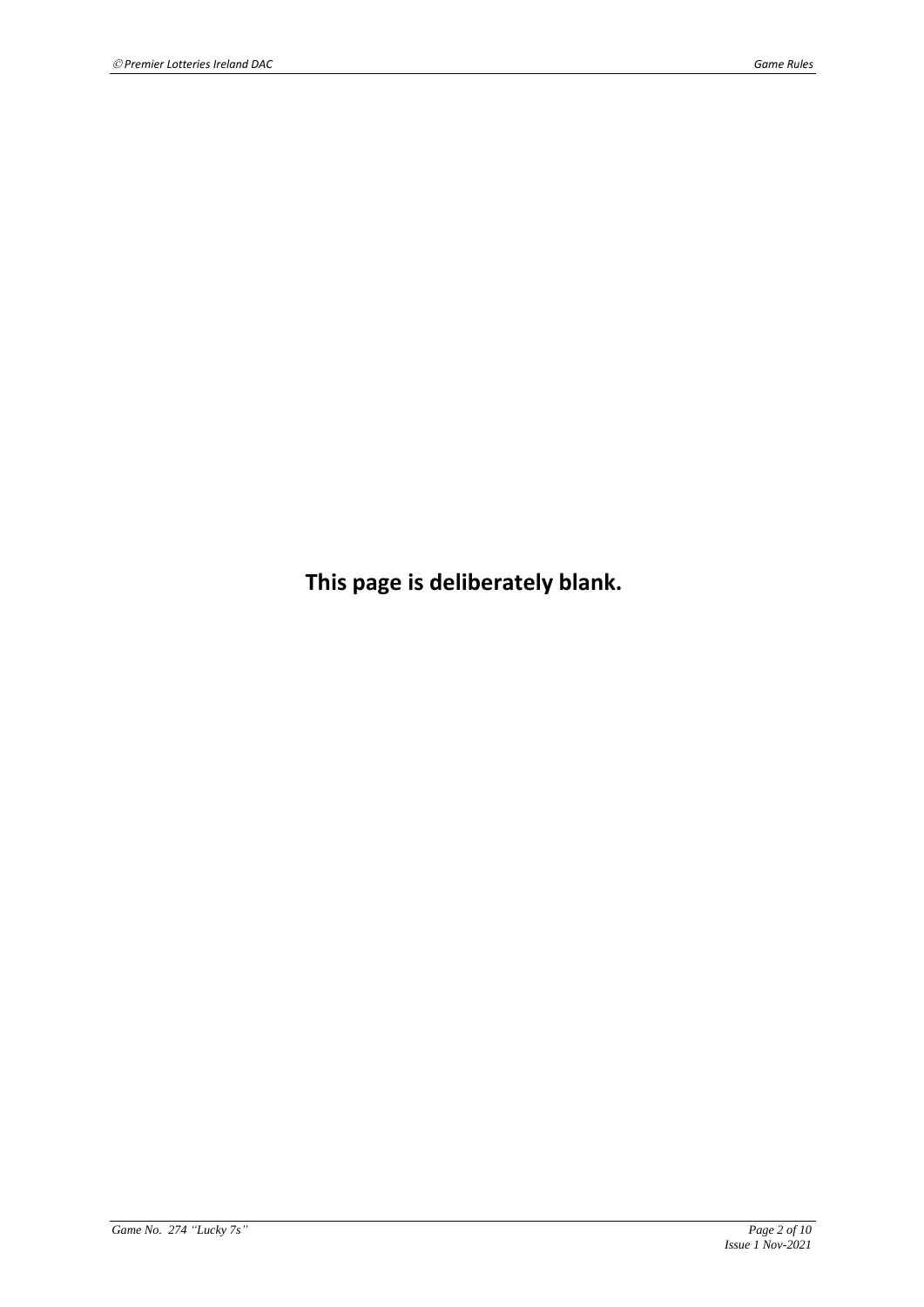**This page is deliberately blank.**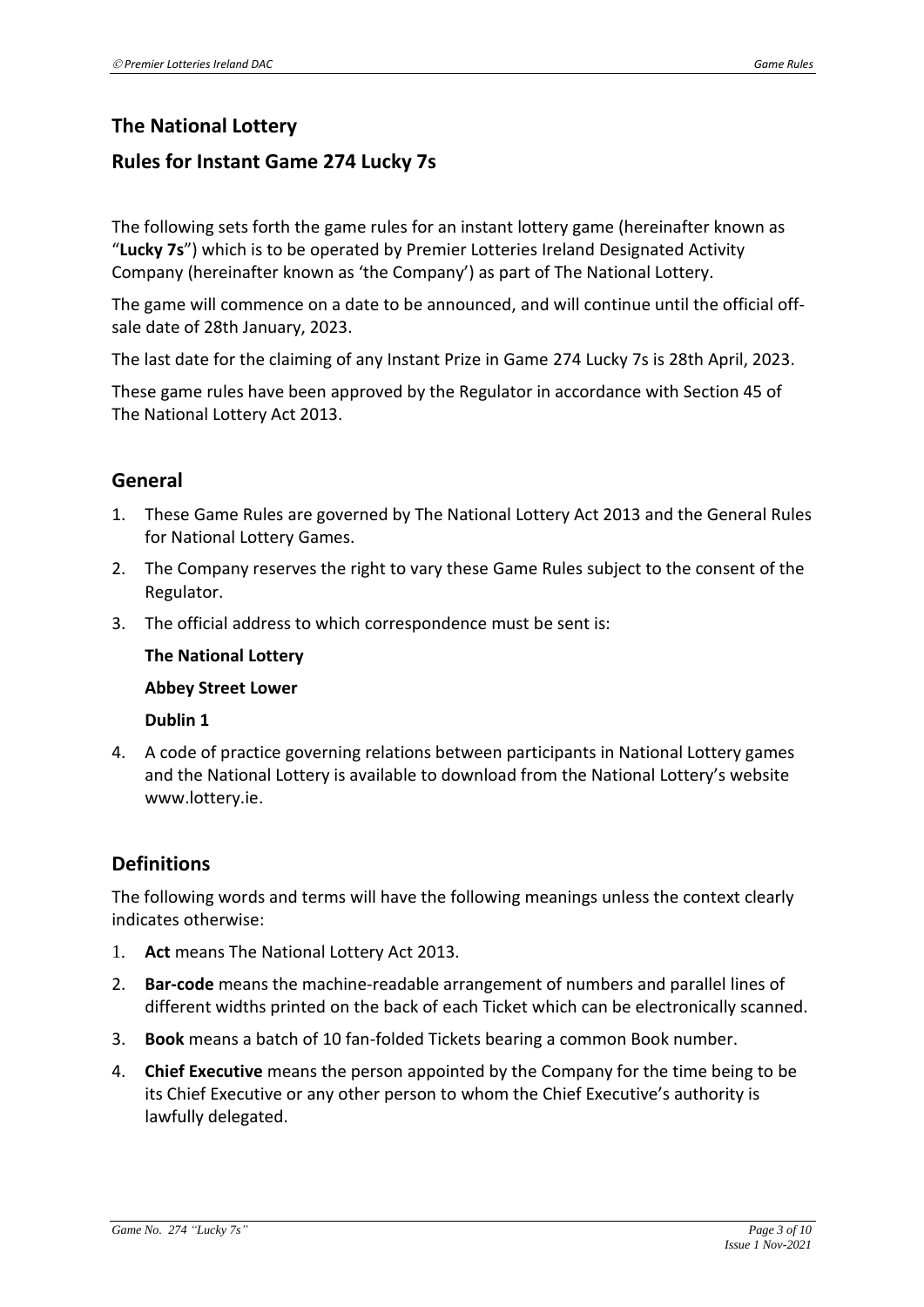# **The National Lottery**

# **Rules for Instant Game 274 Lucky 7s**

The following sets forth the game rules for an instant lottery game (hereinafter known as "**Lucky 7s**") which is to be operated by Premier Lotteries Ireland Designated Activity Company (hereinafter known as 'the Company') as part of The National Lottery.

The game will commence on a date to be announced, and will continue until the official offsale date of 28th January, 2023.

The last date for the claiming of any Instant Prize in Game 274 Lucky 7s is 28th April, 2023.

These game rules have been approved by the Regulator in accordance with Section 45 of The National Lottery Act 2013.

# **General**

- 1. These Game Rules are governed by The National Lottery Act 2013 and the General Rules for National Lottery Games.
- 2. The Company reserves the right to vary these Game Rules subject to the consent of the Regulator.
- 3. The official address to which correspondence must be sent is:

#### **The National Lottery**

#### **Abbey Street Lower**

#### **Dublin 1**

4. A code of practice governing relations between participants in National Lottery games and the National Lottery is available to download from the National Lottery's website [www.lottery.ie.](http://www.lottery.ie/)

## **Definitions**

The following words and terms will have the following meanings unless the context clearly indicates otherwise:

- 1. **Act** means The National Lottery Act 2013.
- 2. **Bar-code** means the machine-readable arrangement of numbers and parallel lines of different widths printed on the back of each Ticket which can be electronically scanned.
- 3. **Book** means a batch of 10 fan-folded Tickets bearing a common Book number.
- 4. **Chief Executive** means the person appointed by the Company for the time being to be its Chief Executive or any other person to whom the Chief Executive's authority is lawfully delegated.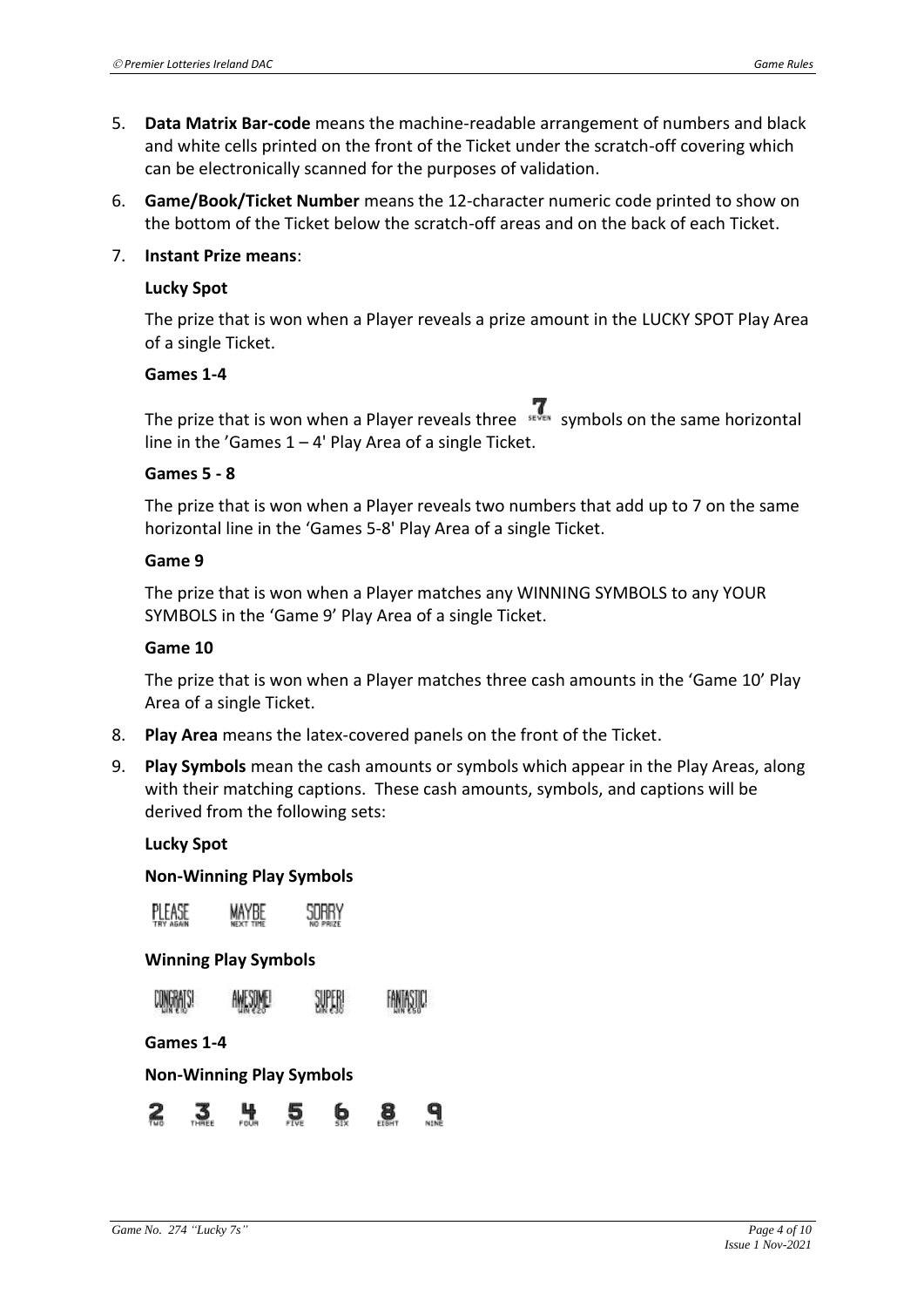- 5. **Data Matrix Bar-code** means the machine-readable arrangement of numbers and black and white cells printed on the front of the Ticket under the scratch-off covering which can be electronically scanned for the purposes of validation.
- 6. **Game/Book/Ticket Number** means the 12-character numeric code printed to show on the bottom of the Ticket below the scratch-off areas and on the back of each Ticket.

#### 7. **Instant Prize means**:

#### **Lucky Spot**

The prize that is won when a Player reveals a prize amount in the LUCKY SPOT Play Area of a single Ticket.

#### **Games 1-4**

The prize that is won when a Player reveals three stream symbols on the same horizontal line in the 'Games  $1 - 4'$  Play Area of a single Ticket.

#### **Games 5 - 8**

The prize that is won when a Player reveals two numbers that add up to 7 on the same horizontal line in the 'Games 5-8' Play Area of a single Ticket.

#### **Game 9**

The prize that is won when a Player matches any WINNING SYMBOLS to any YOUR SYMBOLS in the 'Game 9' Play Area of a single Ticket.

#### **Game 10**

The prize that is won when a Player matches three cash amounts in the 'Game 10' Play Area of a single Ticket.

- 8. **Play Area** means the latex-covered panels on the front of the Ticket.
- 9. **Play Symbols** mean the cash amounts or symbols which appear in the Play Areas, along with their matching captions. These cash amounts, symbols, and captions will be derived from the following sets:

## **Lucky Spot**

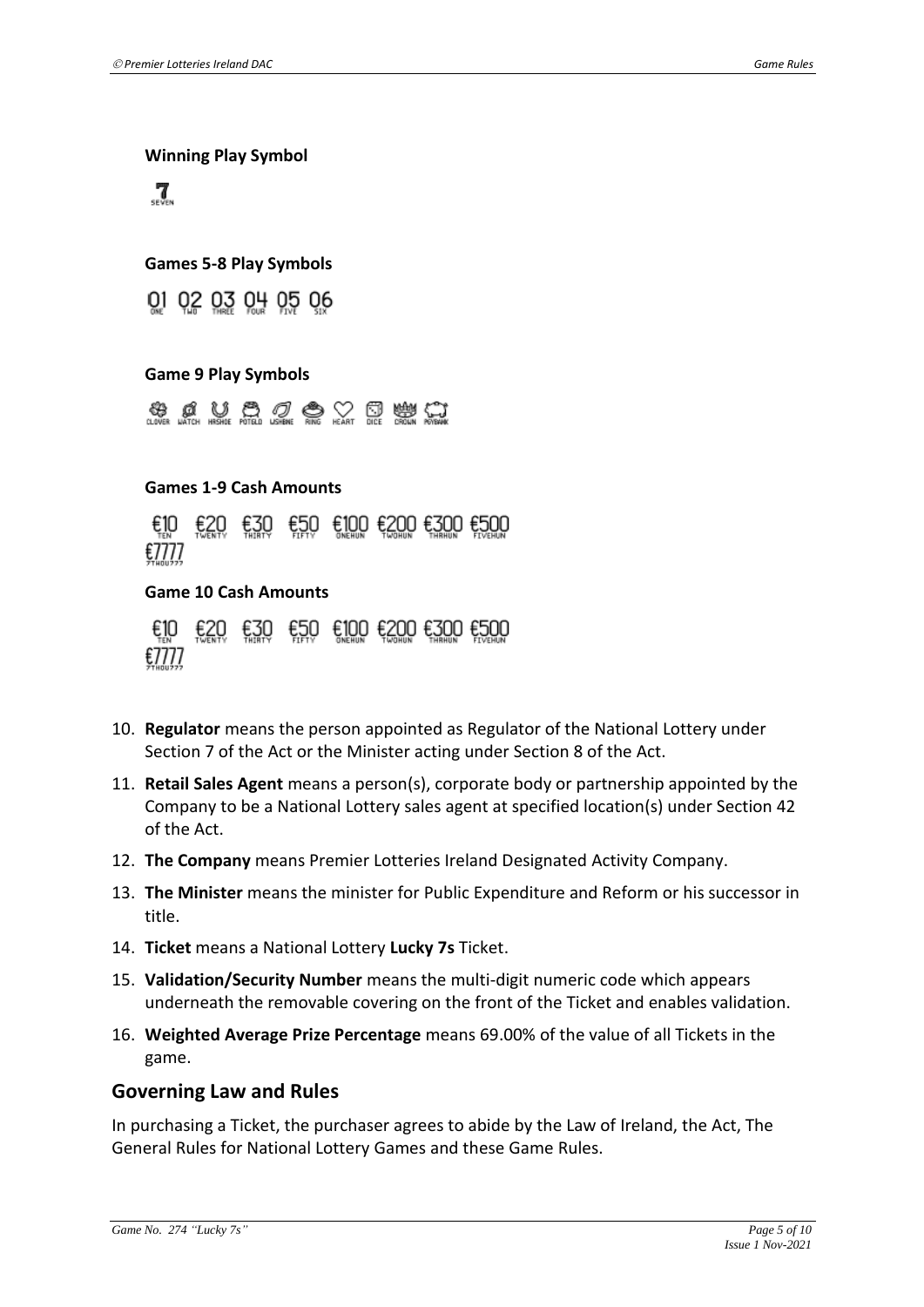**Winning Play Symbol**

 $\frac{7}{\text{seven}}$ 

**Games 5-8 Play Symbols**

Q1 Q2 Q3 Q4 Q5 Q6

## **Game 9 Play Symbols**

**\$ 4 0 V 3 0 % 3 % 1** 

## **Games 1-9 Cash Amounts**



## **Game 10 Cash Amounts**



- 10. **Regulator** means the person appointed as Regulator of the National Lottery under Section 7 of the Act or the Minister acting under Section 8 of the Act.
- 11. **Retail Sales Agent** means a person(s), corporate body or partnership appointed by the Company to be a National Lottery sales agent at specified location(s) under Section 42 of the Act.
- 12. **The Company** means Premier Lotteries Ireland Designated Activity Company.
- 13. **The Minister** means the minister for Public Expenditure and Reform or his successor in title.
- 14. **Ticket** means a National Lottery **Lucky 7s** Ticket.
- 15. **Validation/Security Number** means the multi-digit numeric code which appears underneath the removable covering on the front of the Ticket and enables validation.
- 16. **Weighted Average Prize Percentage** means 69.00% of the value of all Tickets in the game.

## **Governing Law and Rules**

In purchasing a Ticket, the purchaser agrees to abide by the Law of Ireland, the Act, The General Rules for National Lottery Games and these Game Rules.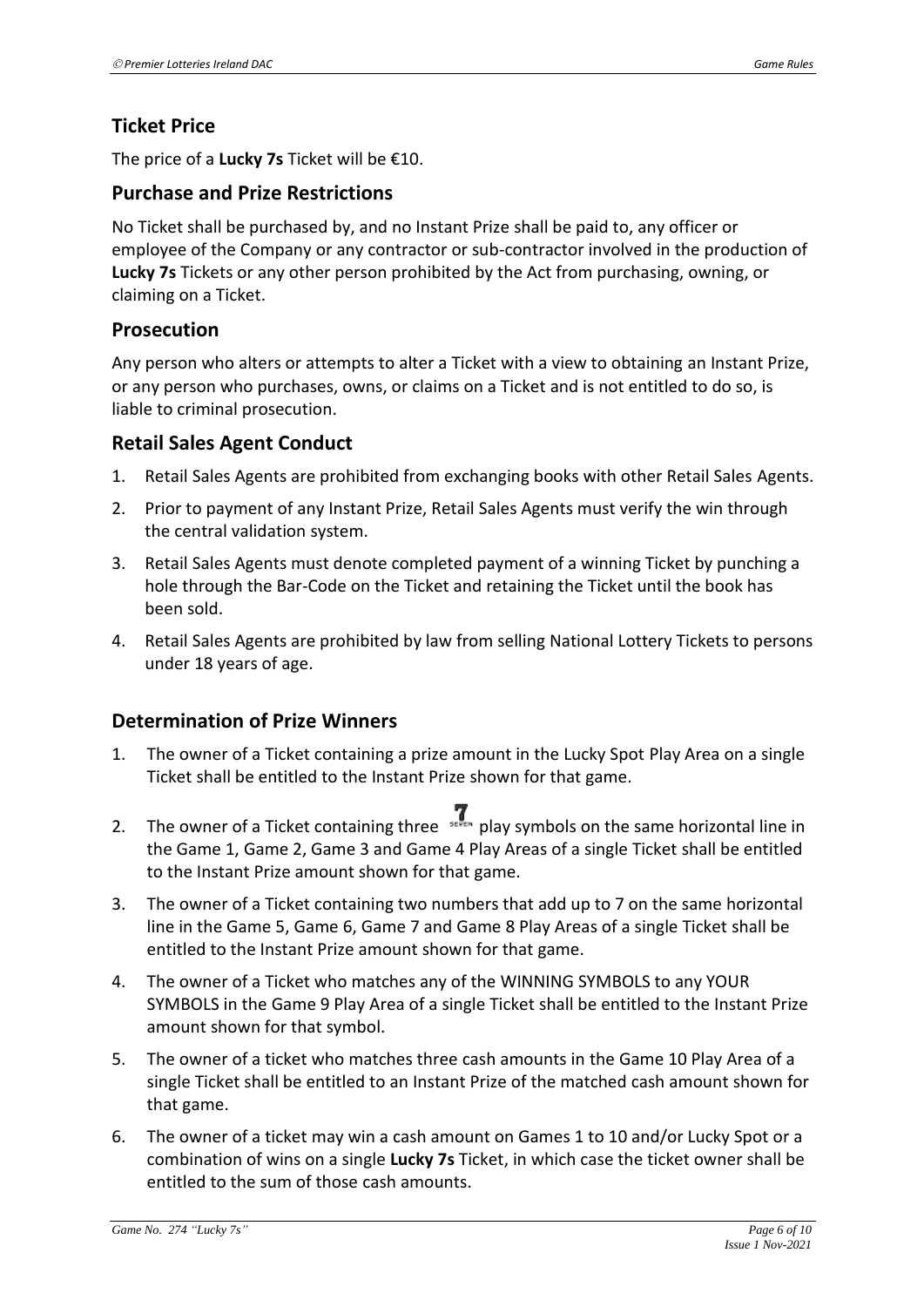# **Ticket Price**

The price of a **Lucky 7s** Ticket will be €10.

# **Purchase and Prize Restrictions**

No Ticket shall be purchased by, and no Instant Prize shall be paid to, any officer or employee of the Company or any contractor or sub-contractor involved in the production of Lucky 7s Tickets or any other person prohibited by the Act from purchasing, owning, or claiming on a Ticket.

## **Prosecution**

Any person who alters or attempts to alter a Ticket with a view to obtaining an Instant Prize, or any person who purchases, owns, or claims on a Ticket and is not entitled to do so, is liable to criminal prosecution.

## **Retail Sales Agent Conduct**

- 1. Retail Sales Agents are prohibited from exchanging books with other Retail Sales Agents.
- 2. Prior to payment of any Instant Prize, Retail Sales Agents must verify the win through the central validation system.
- 3. Retail Sales Agents must denote completed payment of a winning Ticket by punching a hole through the Bar-Code on the Ticket and retaining the Ticket until the book has been sold.
- 4. Retail Sales Agents are prohibited by law from selling National Lottery Tickets to persons under 18 years of age.

# **Determination of Prize Winners**

- 1. The owner of a Ticket containing a prize amount in the Lucky Spot Play Area on a single Ticket shall be entitled to the Instant Prize shown for that game.
- 2. The owner of a Ticket containing three **Play symbols on the same horizontal line in** the Game 1, Game 2, Game 3 and Game 4 Play Areas of a single Ticket shall be entitled to the Instant Prize amount shown for that game.
- 3. The owner of a Ticket containing two numbers that add up to 7 on the same horizontal line in the Game 5, Game 6, Game 7 and Game 8 Play Areas of a single Ticket shall be entitled to the Instant Prize amount shown for that game.
- 4. The owner of a Ticket who matches any of the WINNING SYMBOLS to any YOUR SYMBOLS in the Game 9 Play Area of a single Ticket shall be entitled to the Instant Prize amount shown for that symbol.
- 5. The owner of a ticket who matches three cash amounts in the Game 10 Play Area of a single Ticket shall be entitled to an Instant Prize of the matched cash amount shown for that game.
- 6. The owner of a ticket may win a cash amount on Games 1 to 10 and/or Lucky Spot or a combination of wins on a single **Lucky 7s** Ticket, in which case the ticket owner shall be entitled to the sum of those cash amounts.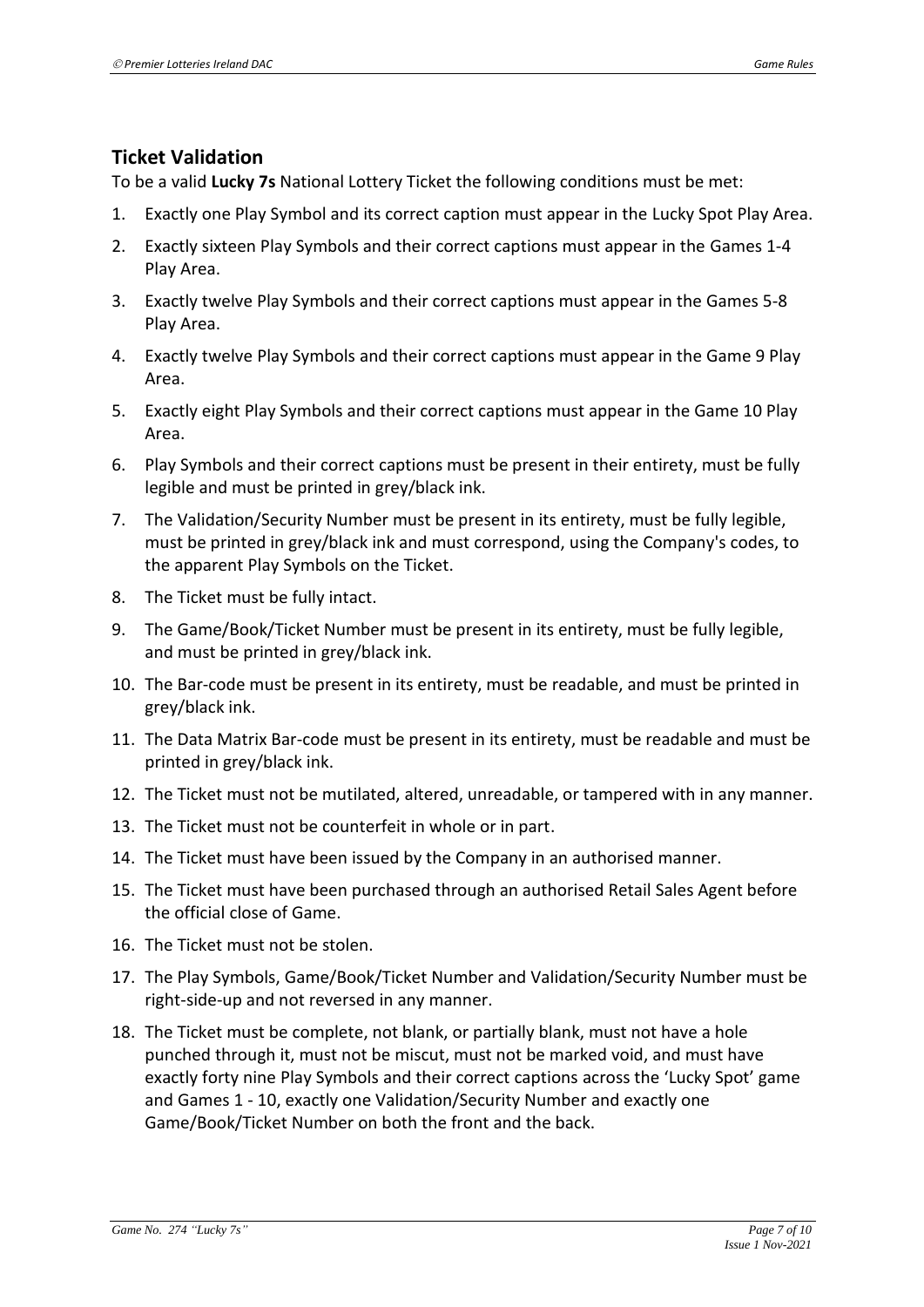# **Ticket Validation**

To be a valid **Lucky 7s** National Lottery Ticket the following conditions must be met:

- 1. Exactly one Play Symbol and its correct caption must appear in the Lucky Spot Play Area.
- 2. Exactly sixteen Play Symbols and their correct captions must appear in the Games 1-4 Play Area.
- 3. Exactly twelve Play Symbols and their correct captions must appear in the Games 5-8 Play Area.
- 4. Exactly twelve Play Symbols and their correct captions must appear in the Game 9 Play Area.
- 5. Exactly eight Play Symbols and their correct captions must appear in the Game 10 Play Area.
- 6. Play Symbols and their correct captions must be present in their entirety, must be fully legible and must be printed in grey/black ink.
- 7. The Validation/Security Number must be present in its entirety, must be fully legible, must be printed in grey/black ink and must correspond, using the Company's codes, to the apparent Play Symbols on the Ticket.
- 8. The Ticket must be fully intact.
- 9. The Game/Book/Ticket Number must be present in its entirety, must be fully legible, and must be printed in grey/black ink.
- 10. The Bar-code must be present in its entirety, must be readable, and must be printed in grey/black ink.
- 11. The Data Matrix Bar-code must be present in its entirety, must be readable and must be printed in grey/black ink.
- 12. The Ticket must not be mutilated, altered, unreadable, or tampered with in any manner.
- 13. The Ticket must not be counterfeit in whole or in part.
- 14. The Ticket must have been issued by the Company in an authorised manner.
- 15. The Ticket must have been purchased through an authorised Retail Sales Agent before the official close of Game.
- 16. The Ticket must not be stolen.
- 17. The Play Symbols, Game/Book/Ticket Number and Validation/Security Number must be right-side-up and not reversed in any manner.
- 18. The Ticket must be complete, not blank, or partially blank, must not have a hole punched through it, must not be miscut, must not be marked void, and must have exactly forty nine Play Symbols and their correct captions across the 'Lucky Spot' game and Games 1 - 10, exactly one Validation/Security Number and exactly one Game/Book/Ticket Number on both the front and the back.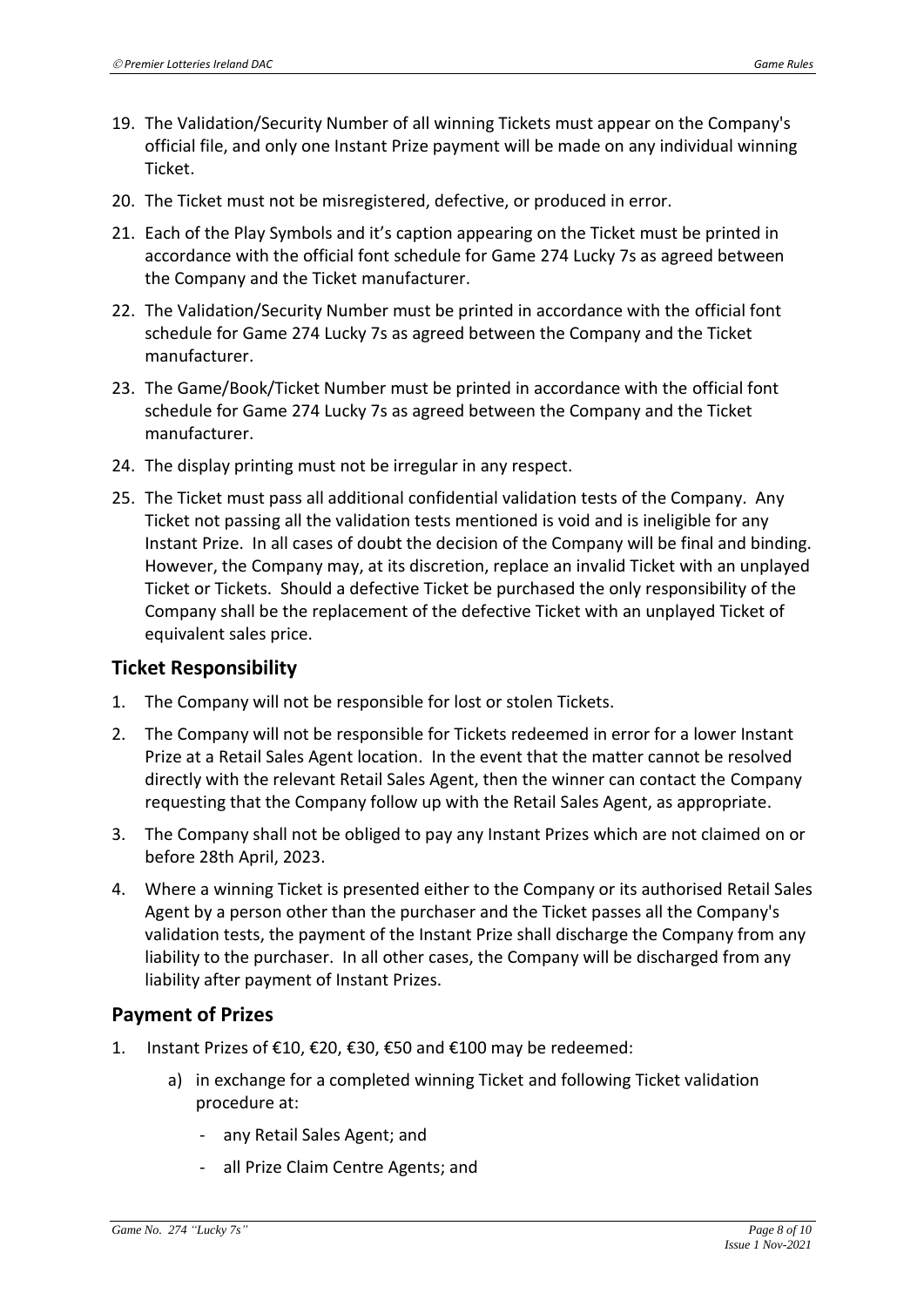- 19. The Validation/Security Number of all winning Tickets must appear on the Company's official file, and only one Instant Prize payment will be made on any individual winning Ticket.
- 20. The Ticket must not be misregistered, defective, or produced in error.
- 21. Each of the Play Symbols and it's caption appearing on the Ticket must be printed in accordance with the official font schedule for Game 274 Lucky 7s as agreed between the Company and the Ticket manufacturer.
- 22. The Validation/Security Number must be printed in accordance with the official font schedule for Game 274 Lucky 7s as agreed between the Company and the Ticket manufacturer.
- 23. The Game/Book/Ticket Number must be printed in accordance with the official font schedule for Game 274 Lucky 7s as agreed between the Company and the Ticket manufacturer.
- 24. The display printing must not be irregular in any respect.
- 25. The Ticket must pass all additional confidential validation tests of the Company. Any Ticket not passing all the validation tests mentioned is void and is ineligible for any Instant Prize. In all cases of doubt the decision of the Company will be final and binding. However, the Company may, at its discretion, replace an invalid Ticket with an unplayed Ticket or Tickets. Should a defective Ticket be purchased the only responsibility of the Company shall be the replacement of the defective Ticket with an unplayed Ticket of equivalent sales price.

## **Ticket Responsibility**

- 1. The Company will not be responsible for lost or stolen Tickets.
- 2. The Company will not be responsible for Tickets redeemed in error for a lower Instant Prize at a Retail Sales Agent location. In the event that the matter cannot be resolved directly with the relevant Retail Sales Agent, then the winner can contact the Company requesting that the Company follow up with the Retail Sales Agent, as appropriate.
- 3. The Company shall not be obliged to pay any Instant Prizes which are not claimed on or before 28th April, 2023.
- 4. Where a winning Ticket is presented either to the Company or its authorised Retail Sales Agent by a person other than the purchaser and the Ticket passes all the Company's validation tests, the payment of the Instant Prize shall discharge the Company from any liability to the purchaser. In all other cases, the Company will be discharged from any liability after payment of Instant Prizes.

## **Payment of Prizes**

- 1. Instant Prizes of €10, €20, €30, €50 and €100 may be redeemed:
	- a) in exchange for a completed winning Ticket and following Ticket validation procedure at:
		- any Retail Sales Agent; and
		- all Prize Claim Centre Agents; and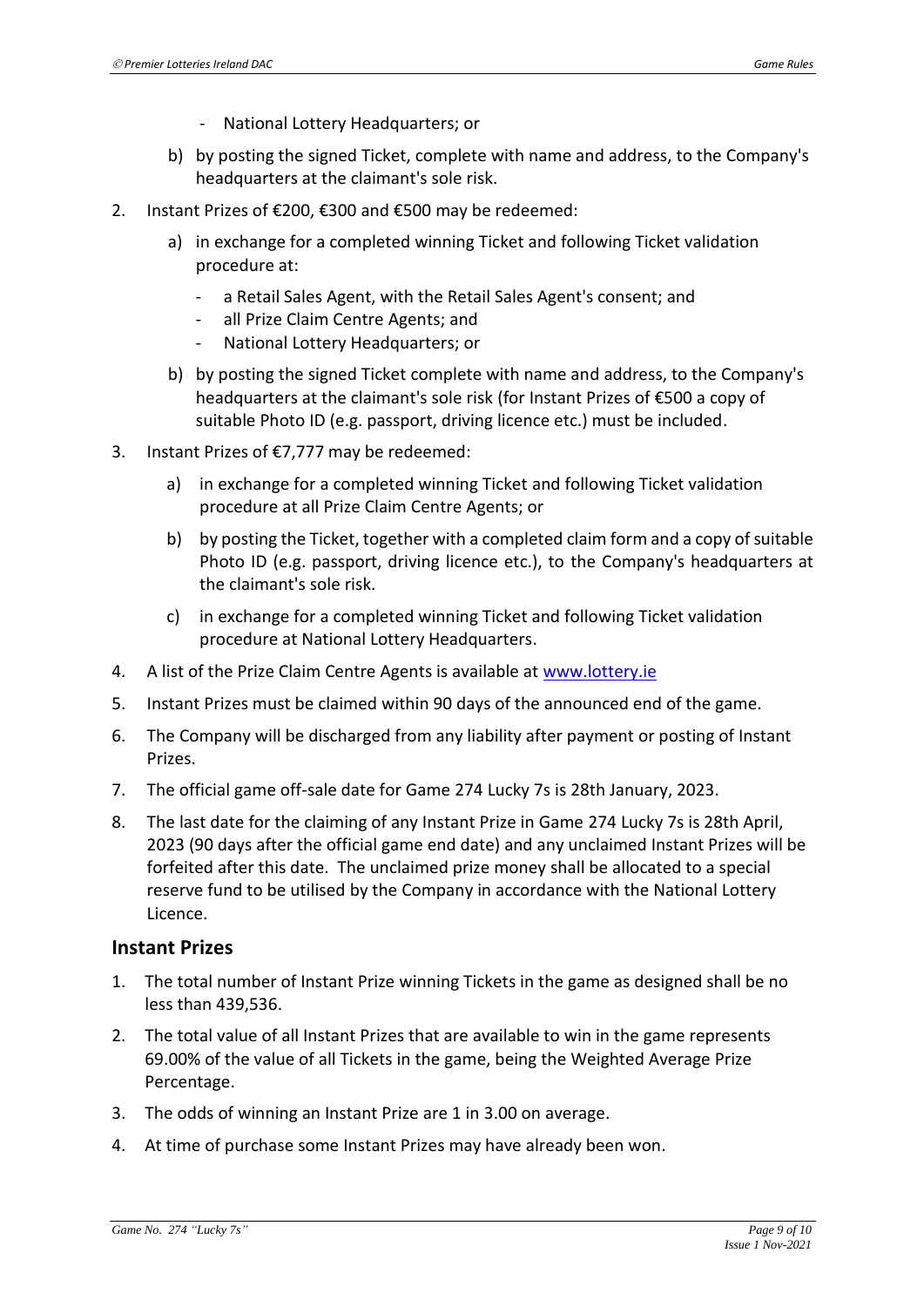- National Lottery Headquarters; or
- b) by posting the signed Ticket, complete with name and address, to the Company's headquarters at the claimant's sole risk.
- 2. Instant Prizes of €200, €300 and €500 may be redeemed:
	- a) in exchange for a completed winning Ticket and following Ticket validation procedure at:
		- a Retail Sales Agent, with the Retail Sales Agent's consent; and
		- all Prize Claim Centre Agents; and
		- National Lottery Headquarters; or
	- b) by posting the signed Ticket complete with name and address, to the Company's headquarters at the claimant's sole risk (for Instant Prizes of €500 a copy of suitable Photo ID (e.g. passport, driving licence etc.) must be included.
- 3. Instant Prizes of €7,777 may be redeemed:
	- a) in exchange for a completed winning Ticket and following Ticket validation procedure at all Prize Claim Centre Agents; or
	- b) by posting the Ticket, together with a completed claim form and a copy of suitable Photo ID (e.g. passport, driving licence etc.), to the Company's headquarters at the claimant's sole risk.
	- c) in exchange for a completed winning Ticket and following Ticket validation procedure at National Lottery Headquarters.
- 4. A list of the Prize Claim Centre Agents is available at [www.lottery.ie](http://www.lottery.ie/)
- 5. Instant Prizes must be claimed within 90 days of the announced end of the game.
- 6. The Company will be discharged from any liability after payment or posting of Instant Prizes.
- 7. The official game off-sale date for Game 274 Lucky 7s is 28th January, 2023.
- 8. The last date for the claiming of any Instant Prize in Game 274 Lucky 7s is 28th April, 2023 (90 days after the official game end date) and any unclaimed Instant Prizes will be forfeited after this date. The unclaimed prize money shall be allocated to a special reserve fund to be utilised by the Company in accordance with the National Lottery Licence.

## **Instant Prizes**

- 1. The total number of Instant Prize winning Tickets in the game as designed shall be no less than 439,536.
- 2. The total value of all Instant Prizes that are available to win in the game represents 69.00% of the value of all Tickets in the game, being the Weighted Average Prize Percentage.
- 3. The odds of winning an Instant Prize are 1 in 3.00 on average.
- 4. At time of purchase some Instant Prizes may have already been won.